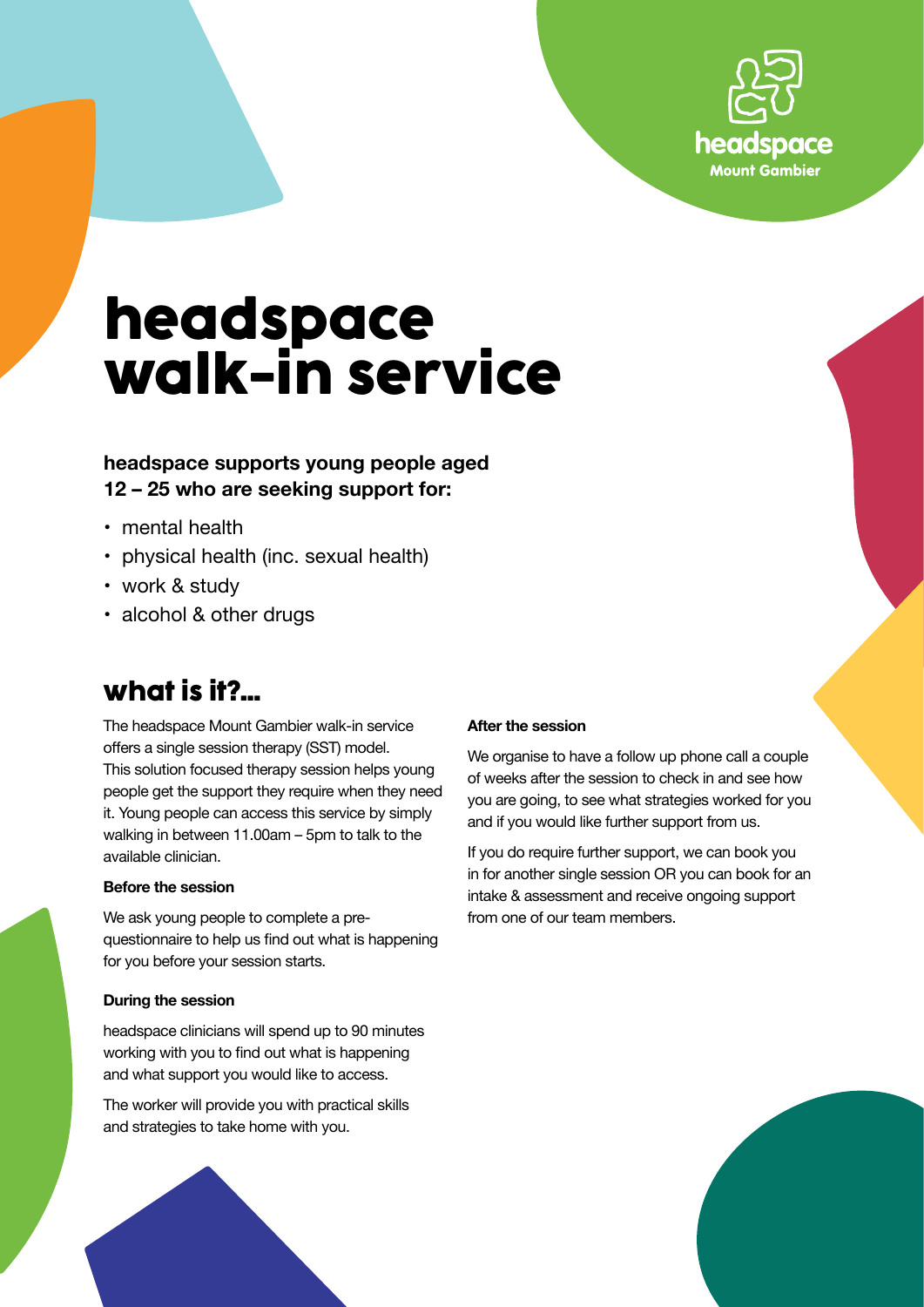

# **headspace walk-in service**

### **headspace supports young people aged 12 – 25 who are seeking support for:**

- mental health
- physical health (inc. sexual health)
- work & study
- alcohol & other drugs

### **what is it?...**

The headspace Mount Gambier walk-in service offers a single session therapy (SST) model. This solution focused therapy session helps young people get the support they require when they need it. Young people can access this service by simply walking in between 11.00am – 5pm to talk to the available clinician.

#### **Before the session**

We ask young people to complete a prequestionnaire to help us find out what is happening for you before your session starts.

#### **During the session**

headspace clinicians will spend up to 90 minutes working with you to find out what is happening and what support you would like to access.

The worker will provide you with practical skills and strategies to take home with you.

#### **After the session**

We organise to have a follow up phone call a couple of weeks after the session to check in and see how you are going, to see what strategies worked for you and if you would like further support from us.

If you do require further support, we can book you in for another single session OR you can book for an intake & assessment and receive ongoing support from one of our team members.